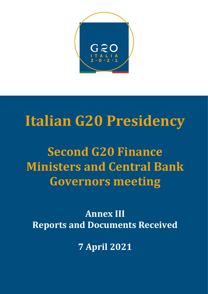

# Italian G20 Presidency

Second G20 Finance Ministers and Central Bank Governors meeting

Annex III Reports and Documents Received

7 April 2021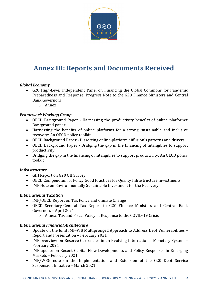

# Annex III: Reports and Documents Received

# Global Economy

- G20 High-Level Independent Panel on Financing the Global Commons for Pandemic Preparedness and Response: Progress Note to the G20 Finance Ministers and Central Bank Governors
	- o Annex

# Framework Working Group

- OECD Background Paper Harnessing the productivity benefits of online platforms: Background paper
- Harnessing the benefits of online platforms for a strong, sustainable and inclusive recovery: An OECD policy toolkit
- OECD Background Paper Dissecting online-platform diffusion's patterns and drivers
- OECD Background Paper Bridging the gap in the financing of intangibles to support productivity
- Bridging the gap in the financing of intangibles to support productivity: An OECD policy toolkit

#### **Infrastructure**

- GIH Report on G20 QII Survey
- OECD Compendium of Policy Good Practices for Quality Infrastructure Investments
- IMF Note on Environmentally Sustainable Investment for the Recovery

#### International Taxation

- IMF/OECD Report on Tax Policy and Climate Change
- OECD Secretary-General Tax Report to G20 Finance Ministers and Central Bank Governors – April 2021
	- o Annex: Tax and Fiscal Policy in Response to the COVID-19 Crisis

#### International Financial Architecture

- Update on the Joint IMF-WB Multipronged Approach to Address Debt Vulnerabilities Report and Presentation – February 2021
- IMF overview on Reserve Currencies in an Evolving International Monetary System February 2021
- IMF update on Recent Capital Flow Developments and Policy Responses in Emerging Markets – February 2021
- IMF/WBG note on the Implementation and Extension of the G20 Debt Service Suspension Initiative – March 2021